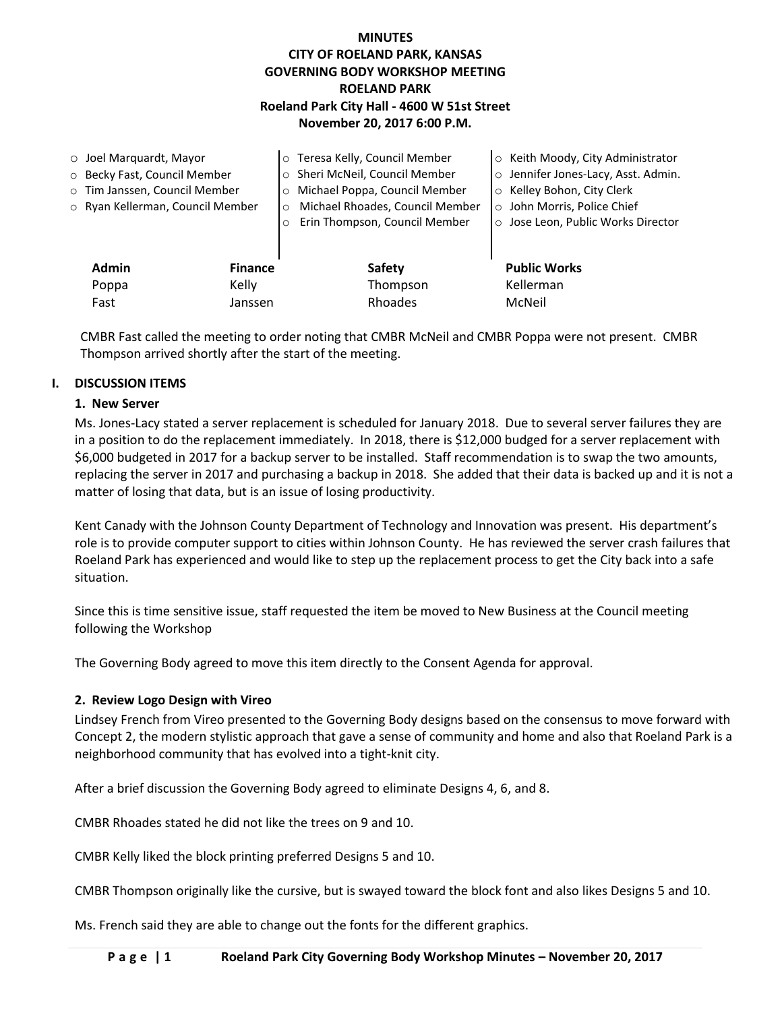## **MINUTES CITY OF ROELAND PARK, KANSAS GOVERNING BODY WORKSHOP MEETING ROELAND PARK Roeland Park City Hall - 4600 W 51st Street November 20, 2017 6:00 P.M.**

| $\circ$ Joel Marquardt, Mayor    |                | o Teresa Kelly, Council Member             | ○ Keith Moody, City Administrator   |
|----------------------------------|----------------|--------------------------------------------|-------------------------------------|
| ○ Becky Fast, Council Member     |                | o Sheri McNeil, Council Member             | o Jennifer Jones-Lacy, Asst. Admin. |
| o Tim Janssen, Council Member    |                | o Michael Poppa, Council Member            | ○ Kelley Bohon, City Clerk          |
| o Ryan Kellerman, Council Member |                | Michael Rhoades, Council Member<br>$\circ$ | o John Morris, Police Chief         |
|                                  | $\circ$        | Erin Thompson, Council Member              | o Jose Leon, Public Works Director  |
|                                  |                |                                            |                                     |
| <b>Admin</b>                     | <b>Finance</b> | Safety                                     | <b>Public Works</b>                 |
| Kelly<br>Poppa                   |                | Thompson                                   | Kellerman                           |
| Fast                             | Janssen        | Rhoades                                    | McNeil                              |

CMBR Fast called the meeting to order noting that CMBR McNeil and CMBR Poppa were not present. CMBR Thompson arrived shortly after the start of the meeting.

### **I. DISCUSSION ITEMS**

#### **1. New Server**

Ms. Jones-Lacy stated a server replacement is scheduled for January 2018. Due to several server failures they are in a position to do the replacement immediately. In 2018, there is \$12,000 budged for a server replacement with \$6,000 budgeted in 2017 for a backup server to be installed. Staff recommendation is to swap the two amounts, replacing the server in 2017 and purchasing a backup in 2018. She added that their data is backed up and it is not a matter of losing that data, but is an issue of losing productivity.

Kent Canady with the Johnson County Department of Technology and Innovation was present. His department's role is to provide computer support to cities within Johnson County. He has reviewed the server crash failures that Roeland Park has experienced and would like to step up the replacement process to get the City back into a safe situation.

Since this is time sensitive issue, staff requested the item be moved to New Business at the Council meeting following the Workshop

The Governing Body agreed to move this item directly to the Consent Agenda for approval.

#### **2. Review Logo Design with Vireo**

Lindsey French from Vireo presented to the Governing Body designs based on the consensus to move forward with Concept 2, the modern stylistic approach that gave a sense of community and home and also that Roeland Park is a neighborhood community that has evolved into a tight-knit city.

After a brief discussion the Governing Body agreed to eliminate Designs 4, 6, and 8.

CMBR Rhoades stated he did not like the trees on 9 and 10.

CMBR Kelly liked the block printing preferred Designs 5 and 10.

CMBR Thompson originally like the cursive, but is swayed toward the block font and also likes Designs 5 and 10.

Ms. French said they are able to change out the fonts for the different graphics.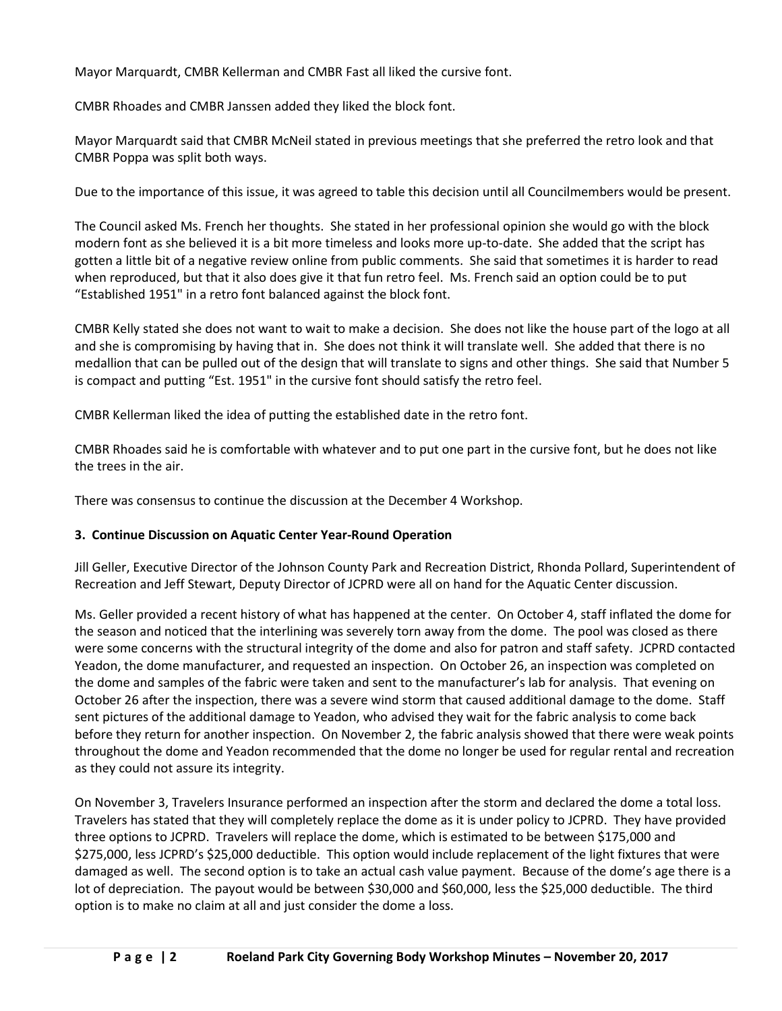Mayor Marquardt, CMBR Kellerman and CMBR Fast all liked the cursive font.

CMBR Rhoades and CMBR Janssen added they liked the block font.

Mayor Marquardt said that CMBR McNeil stated in previous meetings that she preferred the retro look and that CMBR Poppa was split both ways.

Due to the importance of this issue, it was agreed to table this decision until all Councilmembers would be present.

The Council asked Ms. French her thoughts. She stated in her professional opinion she would go with the block modern font as she believed it is a bit more timeless and looks more up-to-date. She added that the script has gotten a little bit of a negative review online from public comments. She said that sometimes it is harder to read when reproduced, but that it also does give it that fun retro feel. Ms. French said an option could be to put "Established 1951" in a retro font balanced against the block font.

CMBR Kelly stated she does not want to wait to make a decision. She does not like the house part of the logo at all and she is compromising by having that in. She does not think it will translate well. She added that there is no medallion that can be pulled out of the design that will translate to signs and other things. She said that Number 5 is compact and putting "Est. 1951" in the cursive font should satisfy the retro feel.

CMBR Kellerman liked the idea of putting the established date in the retro font.

CMBR Rhoades said he is comfortable with whatever and to put one part in the cursive font, but he does not like the trees in the air.

There was consensus to continue the discussion at the December 4 Workshop.

# **3. Continue Discussion on Aquatic Center Year-Round Operation**

Jill Geller, Executive Director of the Johnson County Park and Recreation District, Rhonda Pollard, Superintendent of Recreation and Jeff Stewart, Deputy Director of JCPRD were all on hand for the Aquatic Center discussion.

Ms. Geller provided a recent history of what has happened at the center. On October 4, staff inflated the dome for the season and noticed that the interlining was severely torn away from the dome. The pool was closed as there were some concerns with the structural integrity of the dome and also for patron and staff safety. JCPRD contacted Yeadon, the dome manufacturer, and requested an inspection. On October 26, an inspection was completed on the dome and samples of the fabric were taken and sent to the manufacturer's lab for analysis. That evening on October 26 after the inspection, there was a severe wind storm that caused additional damage to the dome. Staff sent pictures of the additional damage to Yeadon, who advised they wait for the fabric analysis to come back before they return for another inspection. On November 2, the fabric analysis showed that there were weak points throughout the dome and Yeadon recommended that the dome no longer be used for regular rental and recreation as they could not assure its integrity.

On November 3, Travelers Insurance performed an inspection after the storm and declared the dome a total loss. Travelers has stated that they will completely replace the dome as it is under policy to JCPRD. They have provided three options to JCPRD. Travelers will replace the dome, which is estimated to be between \$175,000 and \$275,000, less JCPRD's \$25,000 deductible. This option would include replacement of the light fixtures that were damaged as well. The second option is to take an actual cash value payment. Because of the dome's age there is a lot of depreciation. The payout would be between \$30,000 and \$60,000, less the \$25,000 deductible. The third option is to make no claim at all and just consider the dome a loss.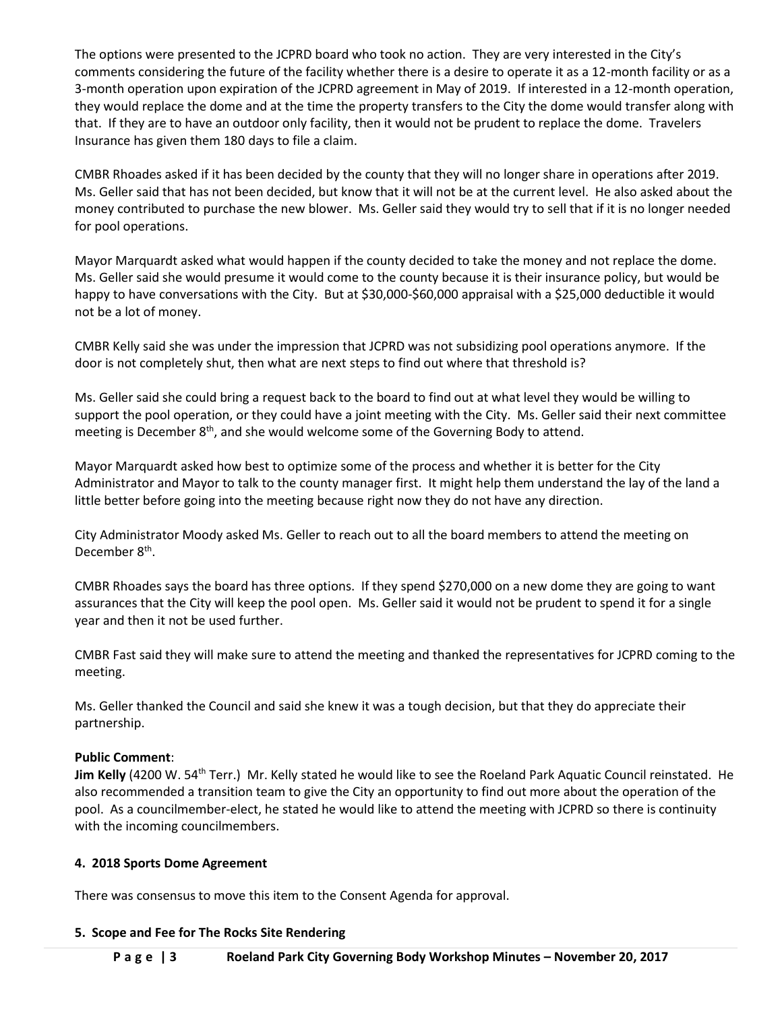The options were presented to the JCPRD board who took no action. They are very interested in the City's comments considering the future of the facility whether there is a desire to operate it as a 12-month facility or as a 3-month operation upon expiration of the JCPRD agreement in May of 2019. If interested in a 12-month operation, they would replace the dome and at the time the property transfers to the City the dome would transfer along with that. If they are to have an outdoor only facility, then it would not be prudent to replace the dome. Travelers Insurance has given them 180 days to file a claim.

CMBR Rhoades asked if it has been decided by the county that they will no longer share in operations after 2019. Ms. Geller said that has not been decided, but know that it will not be at the current level. He also asked about the money contributed to purchase the new blower. Ms. Geller said they would try to sell that if it is no longer needed for pool operations.

Mayor Marquardt asked what would happen if the county decided to take the money and not replace the dome. Ms. Geller said she would presume it would come to the county because it is their insurance policy, but would be happy to have conversations with the City. But at \$30,000-\$60,000 appraisal with a \$25,000 deductible it would not be a lot of money.

CMBR Kelly said she was under the impression that JCPRD was not subsidizing pool operations anymore. If the door is not completely shut, then what are next steps to find out where that threshold is?

Ms. Geller said she could bring a request back to the board to find out at what level they would be willing to support the pool operation, or they could have a joint meeting with the City. Ms. Geller said their next committee meeting is December 8<sup>th</sup>, and she would welcome some of the Governing Body to attend.

Mayor Marquardt asked how best to optimize some of the process and whether it is better for the City Administrator and Mayor to talk to the county manager first. It might help them understand the lay of the land a little better before going into the meeting because right now they do not have any direction.

City Administrator Moody asked Ms. Geller to reach out to all the board members to attend the meeting on December 8<sup>th</sup>.

CMBR Rhoades says the board has three options. If they spend \$270,000 on a new dome they are going to want assurances that the City will keep the pool open. Ms. Geller said it would not be prudent to spend it for a single year and then it not be used further.

CMBR Fast said they will make sure to attend the meeting and thanked the representatives for JCPRD coming to the meeting.

Ms. Geller thanked the Council and said she knew it was a tough decision, but that they do appreciate their partnership.

## **Public Comment**:

**Jim Kelly** (4200 W. 54<sup>th</sup> Terr.) Mr. Kelly stated he would like to see the Roeland Park Aquatic Council reinstated. He also recommended a transition team to give the City an opportunity to find out more about the operation of the pool. As a councilmember-elect, he stated he would like to attend the meeting with JCPRD so there is continuity with the incoming councilmembers.

#### **4. 2018 Sports Dome Agreement**

There was consensus to move this item to the Consent Agenda for approval.

## **5. Scope and Fee for The Rocks Site Rendering**